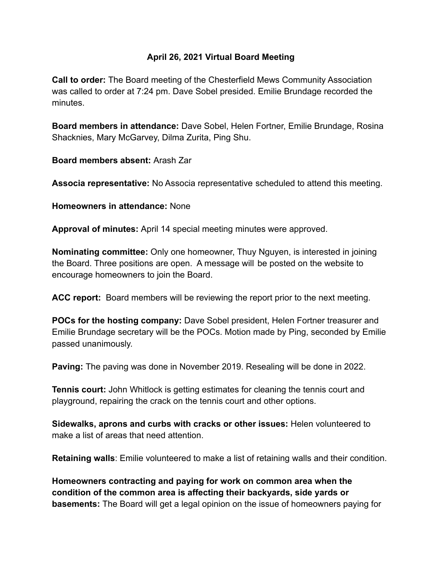## **April 26, 2021 Virtual Board Meeting**

**Call to order:** The Board meeting of the Chesterfield Mews Community Association was called to order at 7:24 pm. Dave Sobel presided. Emilie Brundage recorded the minutes.

**Board members in attendance:** Dave Sobel, Helen Fortner, Emilie Brundage, Rosina Shacknies, Mary McGarvey, Dilma Zurita, Ping Shu.

**Board members absent:** Arash Zar

**Associa representative:** No Associa representative scheduled to attend this meeting.

**Homeowners in attendance:** None

**Approval of minutes:** April 14 special meeting minutes were approved.

**Nominating committee:** Only one homeowner, Thuy Nguyen, is interested in joining the Board. Three positions are open. A message will be posted on the website to encourage homeowners to join the Board.

**ACC report:** Board members will be reviewing the report prior to the next meeting.

**POCs for the hosting company:** Dave Sobel president, Helen Fortner treasurer and Emilie Brundage secretary will be the POCs. Motion made by Ping, seconded by Emilie passed unanimously.

**Paving:** The paving was done in November 2019. Resealing will be done in 2022.

**Tennis court:** John Whitlock is getting estimates for cleaning the tennis court and playground, repairing the crack on the tennis court and other options.

**Sidewalks, aprons and curbs with cracks or other issues:** Helen volunteered to make a list of areas that need attention.

**Retaining walls**: Emilie volunteered to make a list of retaining walls and their condition.

**Homeowners contracting and paying for work on common area when the condition of the common area is affecting their backyards, side yards or basements:** The Board will get a legal opinion on the issue of homeowners paying for